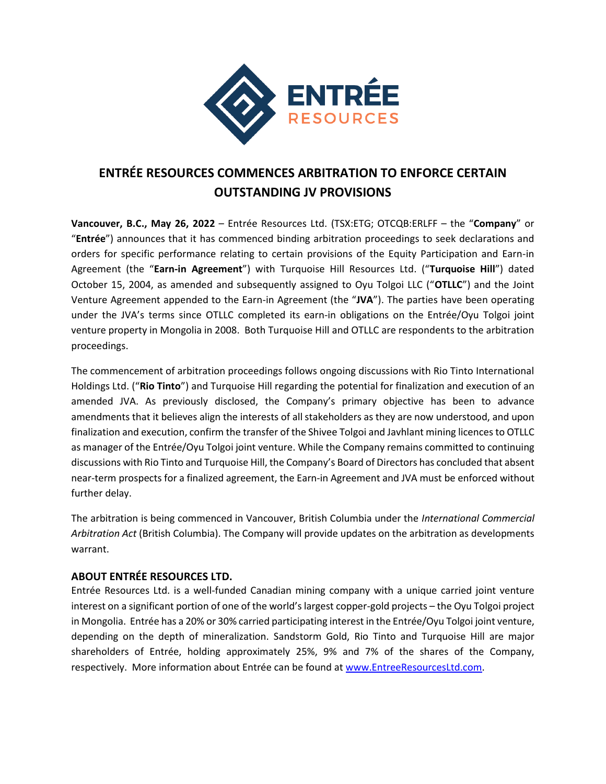

## **ENTRÉE RESOURCES COMMENCES ARBITRATION TO ENFORCE CERTAIN OUTSTANDING JV PROVISIONS**

**Vancouver, B.C., May 26, 2022** – Entrée Resources Ltd. (TSX:ETG; OTCQB:ERLFF – the "**Company**" or "**Entrée**") announces that it has commenced binding arbitration proceedings to seek declarations and orders for specific performance relating to certain provisions of the Equity Participation and Earn-in Agreement (the "**Earn-in Agreement**") with Turquoise Hill Resources Ltd. ("**Turquoise Hill**") dated October 15, 2004, as amended and subsequently assigned to Oyu Tolgoi LLC ("**OTLLC**") and the Joint Venture Agreement appended to the Earn-in Agreement (the "**JVA**"). The parties have been operating under the JVA's terms since OTLLC completed its earn-in obligations on the Entrée/Oyu Tolgoi joint venture property in Mongolia in 2008. Both Turquoise Hill and OTLLC are respondents to the arbitration proceedings.

The commencement of arbitration proceedings follows ongoing discussions with Rio Tinto International Holdings Ltd. ("**Rio Tinto**") and Turquoise Hill regarding the potential for finalization and execution of an amended JVA. As previously disclosed, the Company's primary objective has been to advance amendments that it believes align the interests of all stakeholders as they are now understood, and upon finalization and execution, confirm the transfer of the Shivee Tolgoi and Javhlant mining licences to OTLLC as manager of the Entrée/Oyu Tolgoi joint venture. While the Company remains committed to continuing discussions with Rio Tinto and Turquoise Hill, the Company's Board of Directors has concluded that absent near-term prospects for a finalized agreement, the Earn-in Agreement and JVA must be enforced without further delay.

The arbitration is being commenced in Vancouver, British Columbia under the *International Commercial Arbitration Act* (British Columbia). The Company will provide updates on the arbitration as developments warrant.

## **ABOUT ENTRÉE RESOURCES LTD.**

Entrée Resources Ltd. is a well-funded Canadian mining company with a unique carried joint venture interest on a significant portion of one of the world's largest copper-gold projects – the Oyu Tolgoi project in Mongolia. Entrée has a 20% or 30% carried participating interest in the Entrée/Oyu Tolgoi joint venture, depending on the depth of mineralization. Sandstorm Gold, Rio Tinto and Turquoise Hill are major shareholders of Entrée, holding approximately 25%, 9% and 7% of the shares of the Company, respectively. More information about Entrée can be found at [www.EntreeResourcesLtd.com.](http://www.entreeresourcesltd.com/)